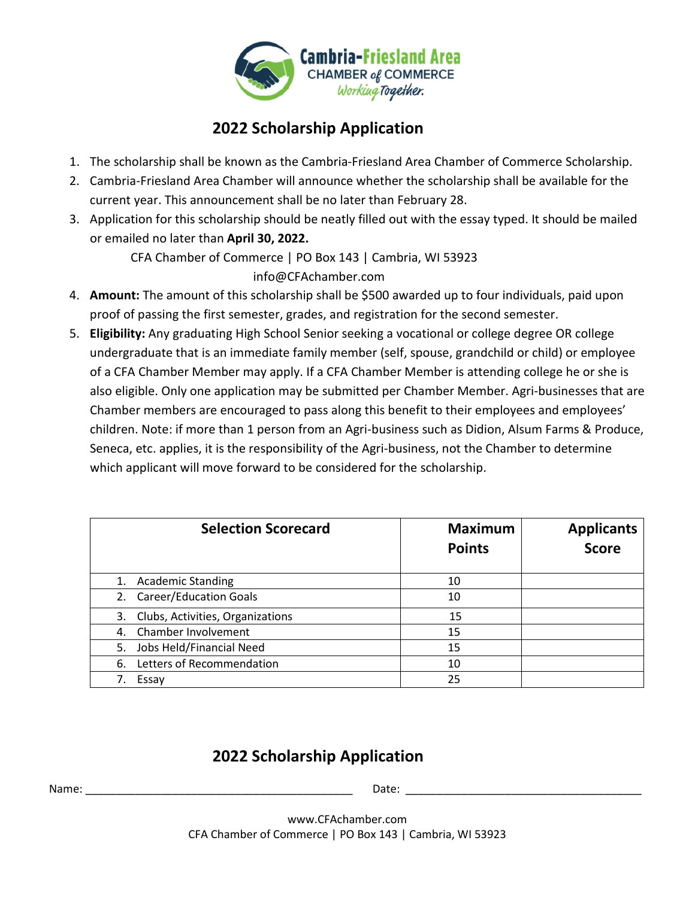

## **2022 Scholarship Application**

- 1. The scholarship shall be known as the Cambria-Friesland Area Chamber of Commerce Scholarship.
- 2. Cambria-Friesland Area Chamber will announce whether the scholarship shall be available for the current year. This announcement shall be no later than February 28.
- 3. Application for this scholarship should be neatly filled out with the essay typed. It should be mailed or emailed no later than **April 30, 2022.**

CFA Chamber of Commerce | PO Box 143 | Cambria, WI 53923

info@CFAchamber.com

- 4. **Amount:** The amount of this scholarship shall be \$500 awarded up to four individuals, paid upon proof of passing the first semester, grades, and registration for the second semester.
- 5. **Eligibility:** Any graduating High School Senior seeking a vocational or college degree OR college undergraduate that is an immediate family member (self, spouse, grandchild or child) or employee of a CFA Chamber Member may apply. If a CFA Chamber Member is attending college he or she is also eligible. Only one application may be submitted per Chamber Member. Agri-businesses that are Chamber members are encouraged to pass along this benefit to their employees and employees' children. Note: if more than 1 person from an Agri-business such as Didion, Alsum Farms & Produce, Seneca, etc. applies, it is the responsibility of the Agri-business, not the Chamber to determine which applicant will move forward to be considered for the scholarship.

| <b>Selection Scorecard</b>             | <b>Maximum</b><br><b>Points</b> | <b>Applicants</b><br><b>Score</b> |
|----------------------------------------|---------------------------------|-----------------------------------|
| <b>Academic Standing</b><br>1.         | 10                              |                                   |
| 2. Career/Education Goals              | 10                              |                                   |
| Clubs, Activities, Organizations<br>3. | 15                              |                                   |
| Chamber Involvement<br>4.              | 15                              |                                   |
| Jobs Held/Financial Need<br>5.         | 15                              |                                   |
| Letters of Recommendation<br>6.        | 10                              |                                   |
| Essay                                  | 25                              |                                   |

## **2022 Scholarship Application**

Name: \_\_\_\_\_\_\_\_\_\_\_\_\_\_\_\_\_\_\_\_\_\_\_\_\_\_\_\_\_\_\_\_\_\_\_\_\_\_\_\_\_\_\_ Date: \_\_\_\_\_\_\_\_\_\_\_\_\_\_\_\_\_\_\_\_\_\_\_\_\_\_\_\_\_\_\_\_\_\_\_\_\_\_

[www.CFAchamber.com](http://www.cfachamber.com/) CFA Chamber of Commerce | PO Box 143 | Cambria, WI 53923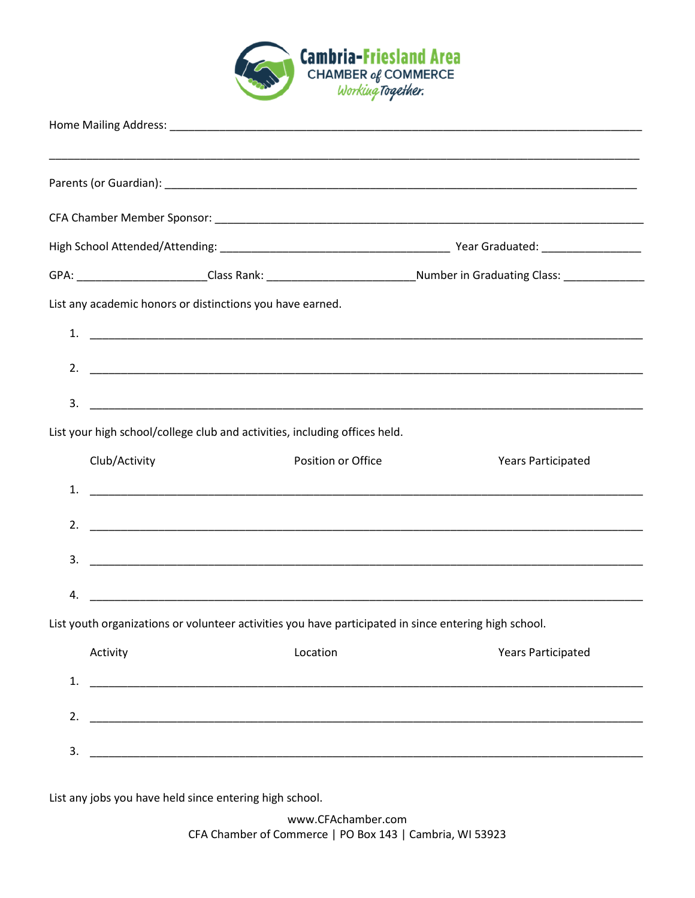

|    |               |                                                                            | GPA: _________________________Class Rank: ________________________________Number in Graduating Class: ______________ |  |  |
|----|---------------|----------------------------------------------------------------------------|----------------------------------------------------------------------------------------------------------------------|--|--|
|    |               | List any academic honors or distinctions you have earned.                  |                                                                                                                      |  |  |
|    |               |                                                                            |                                                                                                                      |  |  |
|    |               |                                                                            |                                                                                                                      |  |  |
|    |               |                                                                            |                                                                                                                      |  |  |
|    |               | List your high school/college club and activities, including offices held. |                                                                                                                      |  |  |
|    | Club/Activity | Position or Office                                                         | <b>Years Participated</b>                                                                                            |  |  |
| 1. |               |                                                                            |                                                                                                                      |  |  |
|    |               |                                                                            |                                                                                                                      |  |  |
| 3. |               |                                                                            |                                                                                                                      |  |  |
|    |               |                                                                            |                                                                                                                      |  |  |
| 4. |               |                                                                            |                                                                                                                      |  |  |
|    |               |                                                                            | List youth organizations or volunteer activities you have participated in since entering high school.                |  |  |
|    | Activity      | Location                                                                   | <b>Years Participated</b>                                                                                            |  |  |
| 1. |               | <u> 1989 - Johann Barn, amerikansk politiker (d. 1989)</u>                 |                                                                                                                      |  |  |
| 2. |               |                                                                            |                                                                                                                      |  |  |
| 3. |               |                                                                            |                                                                                                                      |  |  |

List any jobs you have held since entering high school.